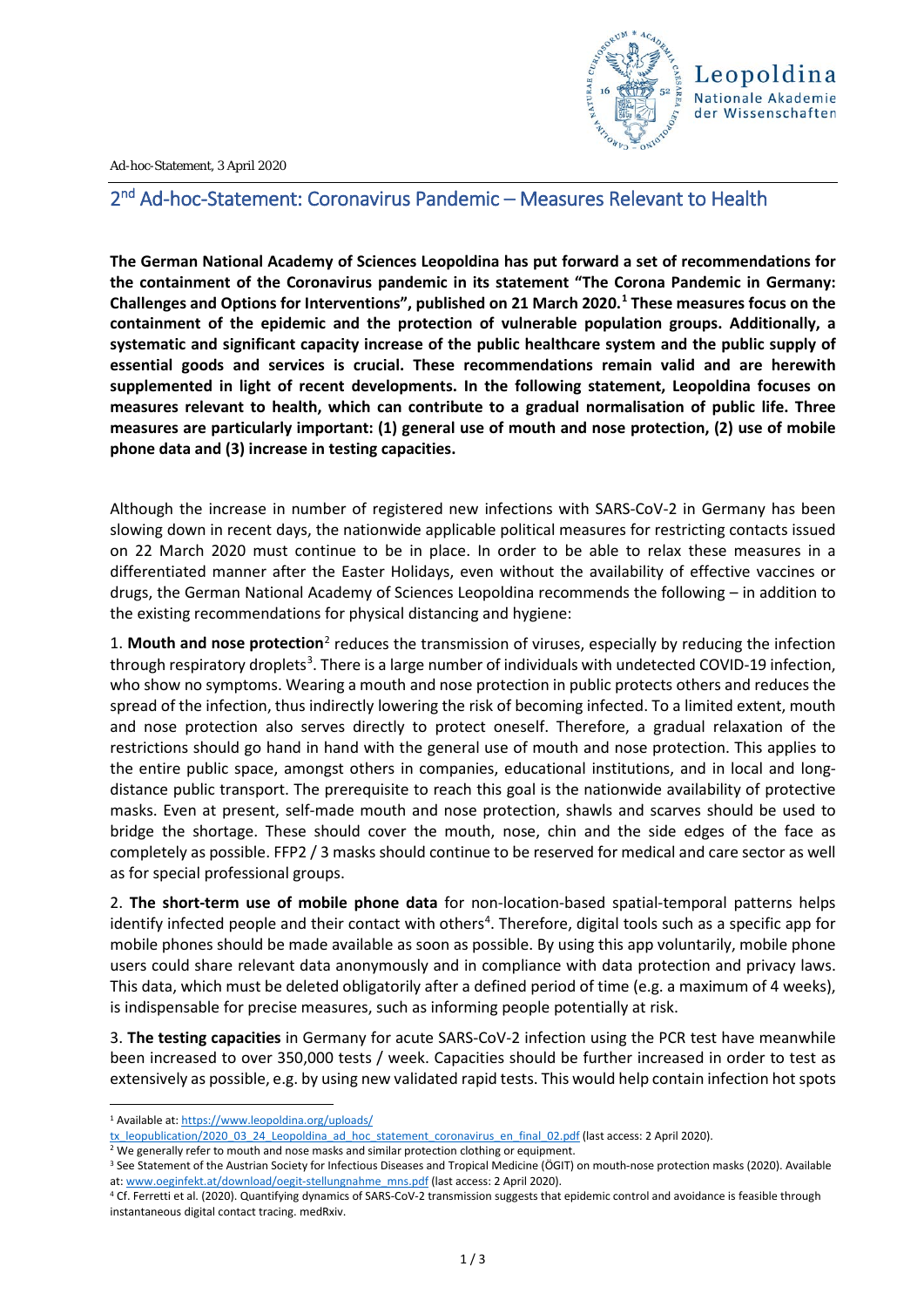

Ad-hoc-Statement, 3 April 2020

## 2nd Ad-hoc-Statement: Coronavirus Pandemic – Measures Relevant to Health

**The German National Academy of Sciences Leopoldina has put forward a set of recommendations for the containment of the Coronavirus pandemic in its statement "The Corona Pandemic in Germany: Challenges and Options for Interventions", published on 21 March 2020.[1](#page-0-0) These measures focus on the containment of the epidemic and the protection of vulnerable population groups. Additionally, a systematic and significant capacity increase of the public healthcare system and the public supply of essential goods and services is crucial. These recommendations remain valid and are herewith supplemented in light of recent developments. In the following statement, Leopoldina focuses on measures relevant to health, which can contribute to a gradual normalisation of public life. Three measures are particularly important: (1) general use of mouth and nose protection, (2) use of mobile phone data and (3) increase in testing capacities.**

Although the increase in number of registered new infections with SARS-CoV-2 in Germany has been slowing down in recent days, the nationwide applicable political measures for restricting contacts issued on 22 March 2020 must continue to be in place. In order to be able to relax these measures in a differentiated manner after the Easter Holidays, even without the availability of effective vaccines or drugs, the German National Academy of Sciences Leopoldina recommends the following – in addition to the existing recommendations for physical distancing and hygiene:

1. **Mouth and nose protection**[2](#page-0-1) reduces the transmission of viruses, especially by reducing the infection through respiratory droplets<sup>[3](#page-0-2)</sup>. There is a large number of individuals with undetected COVID-19 infection, who show no symptoms. Wearing a mouth and nose protection in public protects others and reduces the spread of the infection, thus indirectly lowering the risk of becoming infected. To a limited extent, mouth and nose protection also serves directly to protect oneself. Therefore, a gradual relaxation of the restrictions should go hand in hand with the general use of mouth and nose protection. This applies to the entire public space, amongst others in companies, educational institutions, and in local and longdistance public transport. The prerequisite to reach this goal is the nationwide availability of protective masks. Even at present, self-made mouth and nose protection, shawls and scarves should be used to bridge the shortage. These should cover the mouth, nose, chin and the side edges of the face as completely as possible. FFP2 / 3 masks should continue to be reserved for medical and care sector as well as for special professional groups.

2. **The short-term use of mobile phone data** for non-location-based spatial-temporal patterns helps identify infected people and their contact with others<sup>[4](#page-0-3)</sup>. Therefore, digital tools such as a specific app for mobile phones should be made available as soon as possible. By using this app voluntarily, mobile phone users could share relevant data anonymously and in compliance with data protection and privacy laws. This data, which must be deleted obligatorily after a defined period of time (e.g. a maximum of 4 weeks), is indispensable for precise measures, such as informing people potentially at risk.

3. **The testing capacities** in Germany for acute SARS-CoV-2 infection using the PCR test have meanwhile been increased to over 350,000 tests / week. Capacities should be further increased in order to test as extensively as possible, e.g. by using new validated rapid tests. This would help contain infection hot spots

<span id="page-0-0"></span> <sup>1</sup> Available at: [https://www.leopoldina.org/uploads/](https://www.leopoldina.org/uploads/tx_leopublication/2020_03_24_Leopoldina_ad_hoc_statement_coronavirus_en_final_02.pdf)

[tx\\_leopublication/2020\\_03\\_24\\_Leopoldina\\_ad\\_hoc\\_statement\\_coronavirus\\_en\\_final\\_02.pdf](https://www.leopoldina.org/uploads/tx_leopublication/2020_03_24_Leopoldina_ad_hoc_statement_coronavirus_en_final_02.pdf) (last access: 2 April 2020).

<span id="page-0-1"></span><sup>&</sup>lt;sup>2</sup> We generally refer to mouth and nose masks and similar protection clothing or equipment.

<span id="page-0-2"></span><sup>&</sup>lt;sup>3</sup> See Statement of the Austrian Society for Infectious Diseases and Tropical Medicine (ÖGIT) on mouth-nose protection masks (2020). Available at[: www.oeginfekt.at/download/oegit-stellungnahme\\_mns.pdf](http://www.oeginfekt.at/download/oegit-stellungnahme_mns.pdf) (last access: 2 April 2020).

<span id="page-0-3"></span><sup>4</sup> Cf. Ferretti et al. (2020). Quantifying dynamics of SARS-CoV-2 transmission suggests that epidemic control and avoidance is feasible through instantaneous digital contact tracing. medRxiv.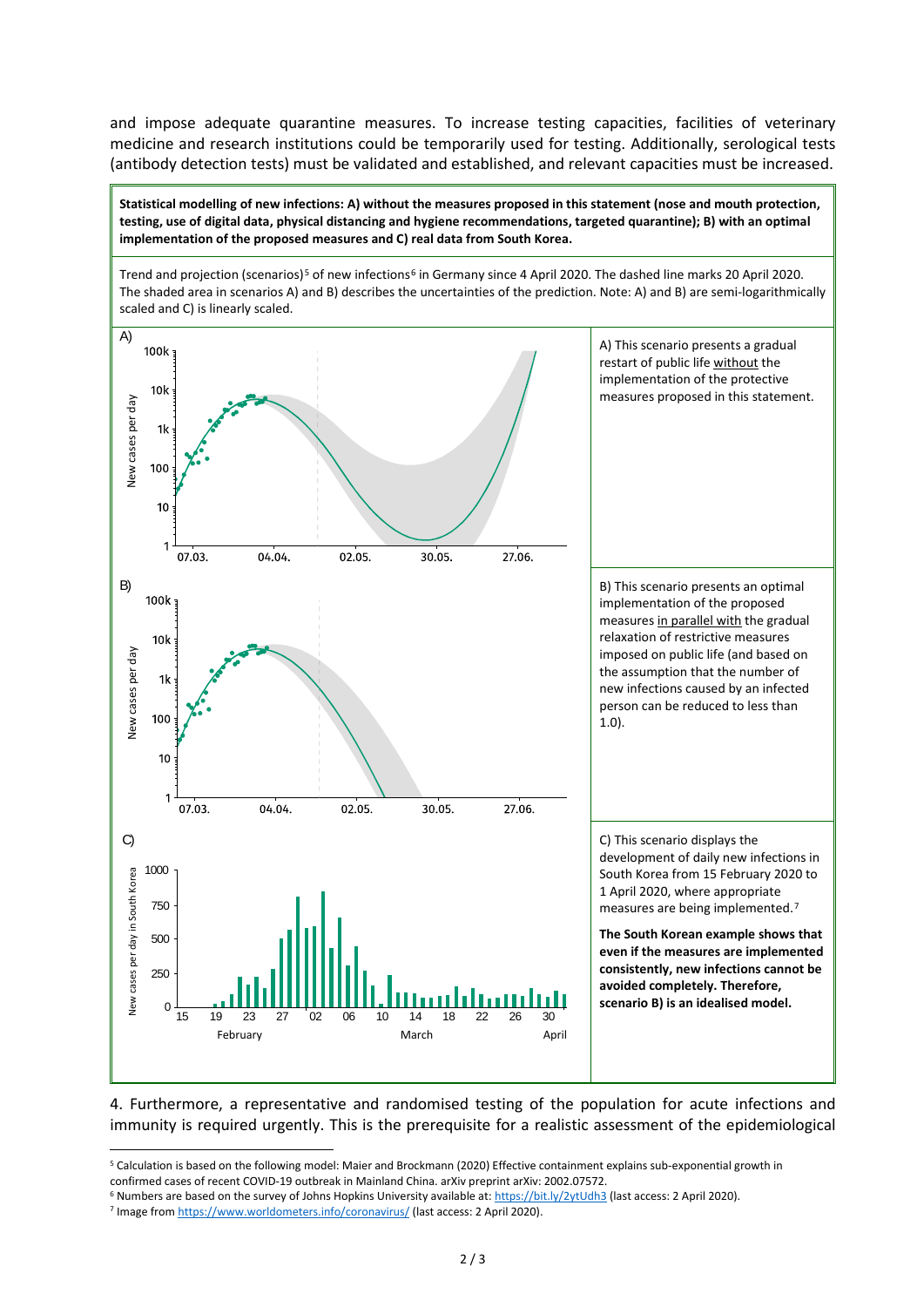and impose adequate quarantine measures. To increase testing capacities, facilities of veterinary medicine and research institutions could be temporarily used for testing. Additionally, serological tests (antibody detection tests) must be validated and established, and relevant capacities must be increased.

**Statistical modelling of new infections: A) without the measures proposed in this statement (nose and mouth protection, testing, use of digital data, physical distancing and hygiene recommendations, targeted quarantine); B) with an optimal implementation of the proposed measures and C) real data from South Korea.**

Trend and projection (scenarios)<sup>[5](#page-1-0)</sup> of new infections<sup>[6](#page-1-1)</sup> in Germany since 4 April 2020. The dashed line marks 20 April 2020. The shaded area in scenarios A) and B) describes the uncertainties of the prediction. Note: A) and B) are semi-logarithmically scaled and C) is linearly scaled. A) A) This scenario presents a gradual 100<sub>k</sub> restart of public life without the implementation of the protective  $10<sub>k</sub>$ measures proposed in this statement. New cases per day New cases per day  $1<sub>k</sub>$ 100  $10$ 07.03. 04.04. 02.05. 30.05. 27.06. B) B) This scenario presents an optimal 100k implementation of the proposed measures in parallel with the gradual relaxation of restrictive measures  $10<sub>k</sub>$ imposed on public life (and based on Vew cases per day New cases per day the assumption that the number of  $1<sub>k</sub>$ new infections caused by an infected person can be reduced to less than 100 1.0).  $10$  $\overline{1}$ 07.03. 04.04. 02.05. 30.05. 27.06 C) C) This scenario displays the development of daily new infections in 1000 Vew cases per day in South Korea South Korea from 15 February 2020 to New cases per day in South Korea 1 April 2020, where appropriate 750 measures are being implemented.[7](#page-1-2) **The South Korean example shows that**  500 **even if the measures are implemented consistently, new infections cannot be**  250 **avoided completely. Therefore, scenario B) is an idealised model.**  $\theta$ 15 19 23 27 02 06 10 14 18 22 26 30 February March March April February March March April

4. Furthermore, a representative and randomised testing of the population for acute infections and immunity is required urgently. This is the prerequisite for a realistic assessment of the epidemiological

<span id="page-1-0"></span> <sup>5</sup> Calculation is based on the following model: Maier and Brockmann (2020) Effective containment explains sub-exponential growth in confirmed cases of recent COVID-19 outbreak in Mainland China. arXiv preprint arXiv: 2002.07572.

<span id="page-1-1"></span><sup>6</sup> Numbers are based on the survey of Johns Hopkins University available at:<https://bit.ly/2ytUdh3> (last access: 2 April 2020).

<span id="page-1-2"></span><sup>7</sup> Image fro[m https://www.worldometers.info/coronavirus/](https://www.worldometers.info/coronavirus/) (last access: 2 April 2020).